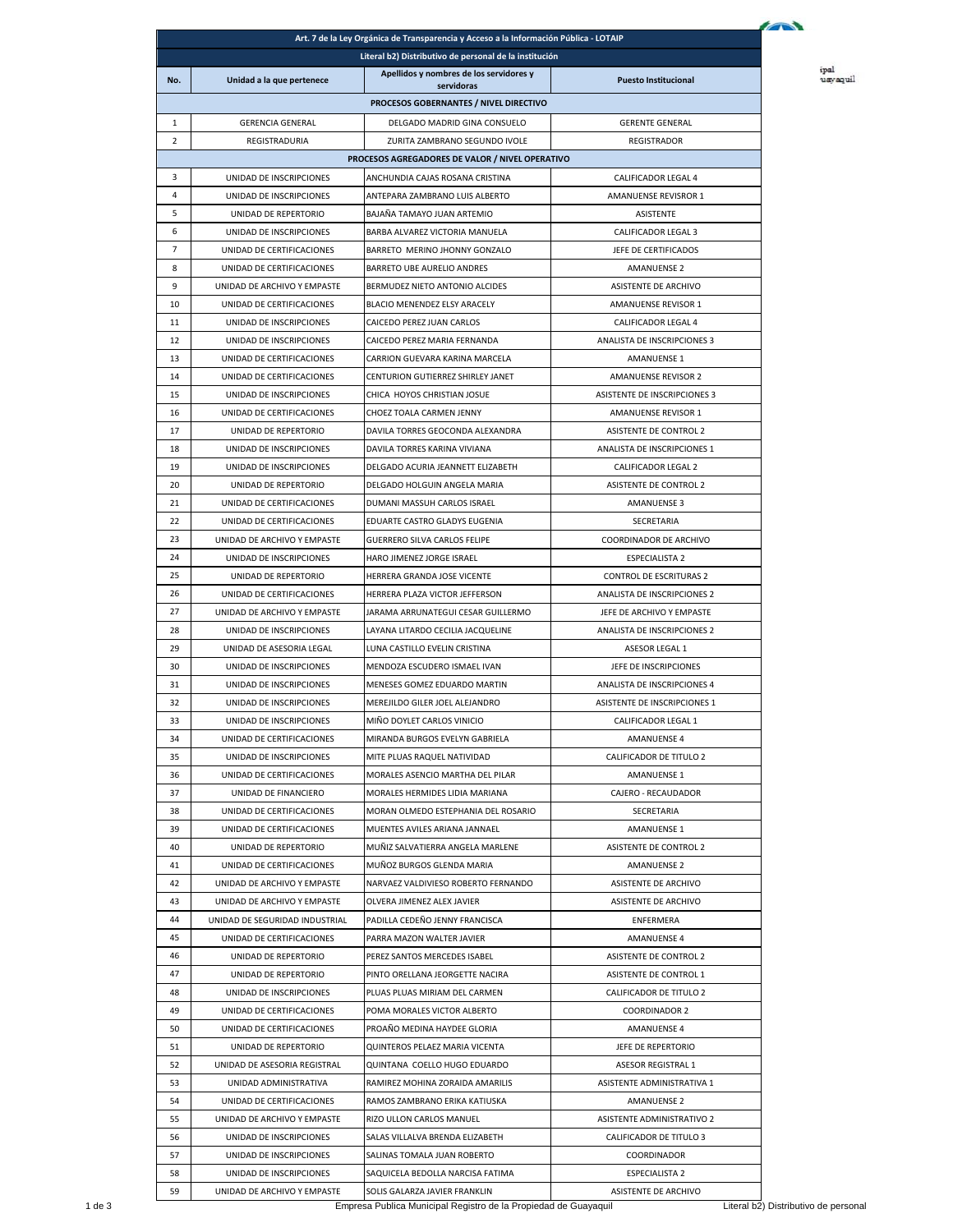|                                                                                                                  |                                                        | Art. 7 de la Ley Orgánica de Transparencia y Acceso a la Información Pública - LOTAIP |                                               |  |  |  |  |
|------------------------------------------------------------------------------------------------------------------|--------------------------------------------------------|---------------------------------------------------------------------------------------|-----------------------------------------------|--|--|--|--|
| Literal b2) Distributivo de personal de la institución                                                           |                                                        |                                                                                       |                                               |  |  |  |  |
| No.                                                                                                              | Unidad a la que pertenece                              | Apellidos y nombres de los servidores y                                               | <b>Puesto Institucional</b>                   |  |  |  |  |
|                                                                                                                  |                                                        | servidoras<br>PROCESOS GOBERNANTES / NIVEL DIRECTIVO                                  |                                               |  |  |  |  |
| 1                                                                                                                | <b>GERENCIA GENERAL</b>                                | DELGADO MADRID GINA CONSUELO                                                          | <b>GERENTE GENERAL</b>                        |  |  |  |  |
| $\overline{2}$                                                                                                   |                                                        |                                                                                       |                                               |  |  |  |  |
| REGISTRADURIA<br>ZURITA ZAMBRANO SEGUNDO IVOLE<br>REGISTRADOR<br>PROCESOS AGREGADORES DE VALOR / NIVEL OPERATIVO |                                                        |                                                                                       |                                               |  |  |  |  |
| 3                                                                                                                | UNIDAD DE INSCRIPCIONES                                | ANCHUNDIA CAJAS ROSANA CRISTINA                                                       | CALIFICADOR LEGAL 4                           |  |  |  |  |
| 4                                                                                                                | UNIDAD DE INSCRIPCIONES                                | ANTEPARA ZAMBRANO LUIS ALBERTO                                                        | AMANUENSE REVISROR 1                          |  |  |  |  |
| 5                                                                                                                | UNIDAD DE REPERTORIO                                   | BAJAÑA TAMAYO JUAN ARTEMIO                                                            | ASISTENTE                                     |  |  |  |  |
| 6                                                                                                                | UNIDAD DE INSCRIPCIONES                                | BARBA ALVAREZ VICTORIA MANUELA                                                        | CALIFICADOR LEGAL 3                           |  |  |  |  |
| $\overline{7}$                                                                                                   | UNIDAD DE CERTIFICACIONES                              | BARRETO MERINO JHONNY GONZALO                                                         | JEFE DE CERTIFICADOS                          |  |  |  |  |
| 8                                                                                                                | UNIDAD DE CERTIFICACIONES                              | BARRETO UBE AURELIO ANDRES                                                            | <b>AMANUENSE 2</b>                            |  |  |  |  |
| 9                                                                                                                | UNIDAD DE ARCHIVO Y EMPASTE                            | BERMUDEZ NIETO ANTONIO ALCIDES                                                        | ASISTENTE DE ARCHIVO                          |  |  |  |  |
| 10                                                                                                               | UNIDAD DE CERTIFICACIONES                              | BLACIO MENENDEZ ELSY ARACELY                                                          | AMANUENSE REVISOR 1                           |  |  |  |  |
| 11                                                                                                               | UNIDAD DE INSCRIPCIONES                                | CAICEDO PEREZ JUAN CARLOS                                                             | <b>CALIFICADOR LEGAL 4</b>                    |  |  |  |  |
|                                                                                                                  | UNIDAD DE INSCRIPCIONES                                | CAICEDO PEREZ MARIA FERNANDA                                                          | ANALISTA DE INSCRIPCIONES 3                   |  |  |  |  |
|                                                                                                                  | UNIDAD DE CERTIFICACIONES                              | CARRION GUEVARA KARINA MARCELA                                                        | AMANUENSE 1                                   |  |  |  |  |
|                                                                                                                  | UNIDAD DE CERTIFICACIONES                              | CENTURION GUTIERREZ SHIRLEY JANET                                                     | <b>AMANUENSE REVISOR 2</b>                    |  |  |  |  |
|                                                                                                                  | UNIDAD DE INSCRIPCIONES                                | CHICA HOYOS CHRISTIAN JOSUE                                                           | <b>ASISTENTE DE INSCRIPCIONES 3</b>           |  |  |  |  |
|                                                                                                                  | UNIDAD DE CERTIFICACIONES                              | CHOEZ TOALA CARMEN JENNY                                                              | AMANUENSE REVISOR 1                           |  |  |  |  |
|                                                                                                                  | UNIDAD DE REPERTORIO                                   | DAVILA TORRES GEOCONDA ALEXANDRA                                                      | ASISTENTE DE CONTROL 2                        |  |  |  |  |
|                                                                                                                  | UNIDAD DE INSCRIPCIONES                                | DAVILA TORRES KARINA VIVIANA                                                          | ANALISTA DE INSCRIPCIONES 1                   |  |  |  |  |
|                                                                                                                  | UNIDAD DE INSCRIPCIONES                                | DELGADO ACURIA JEANNETT ELIZABETH                                                     | CALIFICADOR LEGAL 2                           |  |  |  |  |
|                                                                                                                  | UNIDAD DE REPERTORIO                                   | DELGADO HOLGUIN ANGELA MARIA                                                          | ASISTENTE DE CONTROL 2                        |  |  |  |  |
|                                                                                                                  | UNIDAD DE CERTIFICACIONES                              | DUMANI MASSUH CARLOS ISRAEL                                                           | <b>AMANUENSE 3</b>                            |  |  |  |  |
|                                                                                                                  | UNIDAD DE CERTIFICACIONES                              | EDUARTE CASTRO GLADYS EUGENIA                                                         | SECRETARIA                                    |  |  |  |  |
|                                                                                                                  | UNIDAD DE ARCHIVO Y EMPASTE                            | <b>GUERRERO SILVA CARLOS FELIPE</b>                                                   | COORDINADOR DE ARCHIVO                        |  |  |  |  |
|                                                                                                                  | UNIDAD DE INSCRIPCIONES                                | HARO JIMENEZ JORGE ISRAEL                                                             | <b>ESPECIALISTA 2</b>                         |  |  |  |  |
|                                                                                                                  | UNIDAD DE REPERTORIO                                   | HERRERA GRANDA JOSE VICENTE                                                           | <b>CONTROL DE ESCRITURAS 2</b>                |  |  |  |  |
|                                                                                                                  | UNIDAD DE CERTIFICACIONES                              | HERRERA PLAZA VICTOR JEFFERSON                                                        | ANALISTA DE INSCRIPCIONES 2                   |  |  |  |  |
|                                                                                                                  | UNIDAD DE ARCHIVO Y EMPASTE                            | JARAMA ARRUNATEGUI CESAR GUILLERMO                                                    | JEFE DE ARCHIVO Y EMPASTE                     |  |  |  |  |
|                                                                                                                  | UNIDAD DE INSCRIPCIONES                                | LAYANA LITARDO CECILIA JACQUELINE                                                     | ANALISTA DE INSCRIPCIONES 2                   |  |  |  |  |
|                                                                                                                  | UNIDAD DE ASESORIA LEGAL                               | LUNA CASTILLO EVELIN CRISTINA                                                         | ASESOR LEGAL 1                                |  |  |  |  |
|                                                                                                                  | UNIDAD DE INSCRIPCIONES                                | MENDOZA ESCUDERO ISMAEL IVAN                                                          | JEFE DE INSCRIPCIONES                         |  |  |  |  |
|                                                                                                                  | UNIDAD DE INSCRIPCIONES                                | MENESES GOMEZ EDUARDO MARTIN                                                          | ANALISTA DE INSCRIPCIONES 4                   |  |  |  |  |
|                                                                                                                  | UNIDAD DE INSCRIPCIONES                                | MEREJILDO GILER JOEL ALEJANDRO                                                        | <b>ASISTENTE DE INSCRIPCIONES 1</b>           |  |  |  |  |
|                                                                                                                  | UNIDAD DE INSCRIPCIONES                                | MINO DOYLET CARLOS VINICIO                                                            | CALIFICADOR LEGAL 1                           |  |  |  |  |
|                                                                                                                  | UNIDAD DE CERTIFICACIONES                              | MIRANDA BURGOS EVELYN GABRIELA                                                        | AMANUENSE 4                                   |  |  |  |  |
|                                                                                                                  | UNIDAD DE INSCRIPCIONES                                | MITE PLUAS RAQUEL NATIVIDAD                                                           | CALIFICADOR DE TITULO 2                       |  |  |  |  |
|                                                                                                                  | UNIDAD DE CERTIFICACIONES                              | MORALES ASENCIO MARTHA DEL PILAR                                                      | <b>AMANUENSE 1</b>                            |  |  |  |  |
|                                                                                                                  | UNIDAD DE FINANCIERO                                   | MORALES HERMIDES LIDIA MARIANA                                                        | CAJERO - RECAUDADOR                           |  |  |  |  |
| 38<br>39                                                                                                         | UNIDAD DE CERTIFICACIONES                              | MORAN OLMEDO ESTEPHANIA DEL ROSARIO                                                   | SECRETARIA                                    |  |  |  |  |
|                                                                                                                  | UNIDAD DE CERTIFICACIONES                              | MUENTES AVILES ARIANA JANNAEL                                                         | AMANUENSE 1                                   |  |  |  |  |
|                                                                                                                  | UNIDAD DE REPERTORIO                                   | MUÑIZ SALVATIERRA ANGELA MARLENE                                                      | <b>ASISTENTE DE CONTROL 2</b>                 |  |  |  |  |
|                                                                                                                  | UNIDAD DE CERTIFICACIONES                              | MUÑOZ BURGOS GLENDA MARIA                                                             | AMANUENSE 2                                   |  |  |  |  |
|                                                                                                                  | UNIDAD DE ARCHIVO Y EMPASTE                            | NARVAEZ VALDIVIESO ROBERTO FERNANDO                                                   | ASISTENTE DE ARCHIVO                          |  |  |  |  |
|                                                                                                                  | UNIDAD DE ARCHIVO Y EMPASTE                            | OLVERA JIMENEZ ALEX JAVIER                                                            | ASISTENTE DE ARCHIVO                          |  |  |  |  |
|                                                                                                                  | UNIDAD DE SEGURIDAD INDUSTRIAL                         | PADILLA CEDEÑO JENNY FRANCISCA                                                        | ENFERMERA                                     |  |  |  |  |
|                                                                                                                  | UNIDAD DE CERTIFICACIONES                              | PARRA MAZON WALTER JAVIER                                                             | <b>AMANUENSE 4</b>                            |  |  |  |  |
|                                                                                                                  | UNIDAD DE REPERTORIO                                   | PEREZ SANTOS MERCEDES ISABEL                                                          | ASISTENTE DE CONTROL 2                        |  |  |  |  |
|                                                                                                                  | UNIDAD DE REPERTORIO                                   | PINTO ORELLANA JEORGETTE NACIRA                                                       | ASISTENTE DE CONTROL 1                        |  |  |  |  |
|                                                                                                                  | UNIDAD DE INSCRIPCIONES                                | PLUAS PLUAS MIRIAM DEL CARMEN                                                         | CALIFICADOR DE TITULO 2                       |  |  |  |  |
|                                                                                                                  | UNIDAD DE CERTIFICACIONES                              | POMA MORALES VICTOR ALBERTO                                                           | <b>COORDINADOR 2</b>                          |  |  |  |  |
|                                                                                                                  | UNIDAD DE CERTIFICACIONES                              | PROAÑO MEDINA HAYDEE GLORIA                                                           | <b>AMANUENSE 4</b>                            |  |  |  |  |
|                                                                                                                  | UNIDAD DE REPERTORIO                                   | QUINTEROS PELAEZ MARIA VICENTA                                                        | JEFE DE REPERTORIO                            |  |  |  |  |
|                                                                                                                  | UNIDAD DE ASESORIA REGISTRAL                           | QUINTANA COELLO HUGO EDUARDO                                                          | ASESOR REGISTRAL 1                            |  |  |  |  |
|                                                                                                                  | UNIDAD ADMINISTRATIVA                                  | RAMIREZ MOHINA ZORAIDA AMARILIS                                                       | ASISTENTE ADMINISTRATIVA 1                    |  |  |  |  |
|                                                                                                                  | UNIDAD DE CERTIFICACIONES                              | RAMOS ZAMBRANO ERIKA KATIUSKA                                                         | AMANUENSE 2                                   |  |  |  |  |
|                                                                                                                  | UNIDAD DE ARCHIVO Y EMPASTE                            | RIZO ULLON CARLOS MANUEL                                                              | ASISTENTE ADMINISTRATIVO 2                    |  |  |  |  |
| 56<br>57                                                                                                         | UNIDAD DE INSCRIPCIONES                                | SALAS VILLALVA BRENDA ELIZABETH                                                       | CALIFICADOR DE TITULO 3                       |  |  |  |  |
|                                                                                                                  | UNIDAD DE INSCRIPCIONES                                | SALINAS TOMALA JUAN ROBERTO                                                           | COORDINADOR                                   |  |  |  |  |
|                                                                                                                  | UNIDAD DE INSCRIPCIONES<br>UNIDAD DE ARCHIVO Y EMPASTE | SAQUICELA BEDOLLA NARCISA FATIMA<br>SOLIS GALARZA JAVIER FRANKLIN                     | <b>ESPECIALISTA 2</b><br>ASISTENTE DE ARCHIVO |  |  |  |  |
|                                                                                                                  |                                                        |                                                                                       |                                               |  |  |  |  |

ipal<br>usyaquil

1 de 3 Empresa Publica Municipal Registro de la Propiedad de Guayaquil Literal b2) Distributivo de personal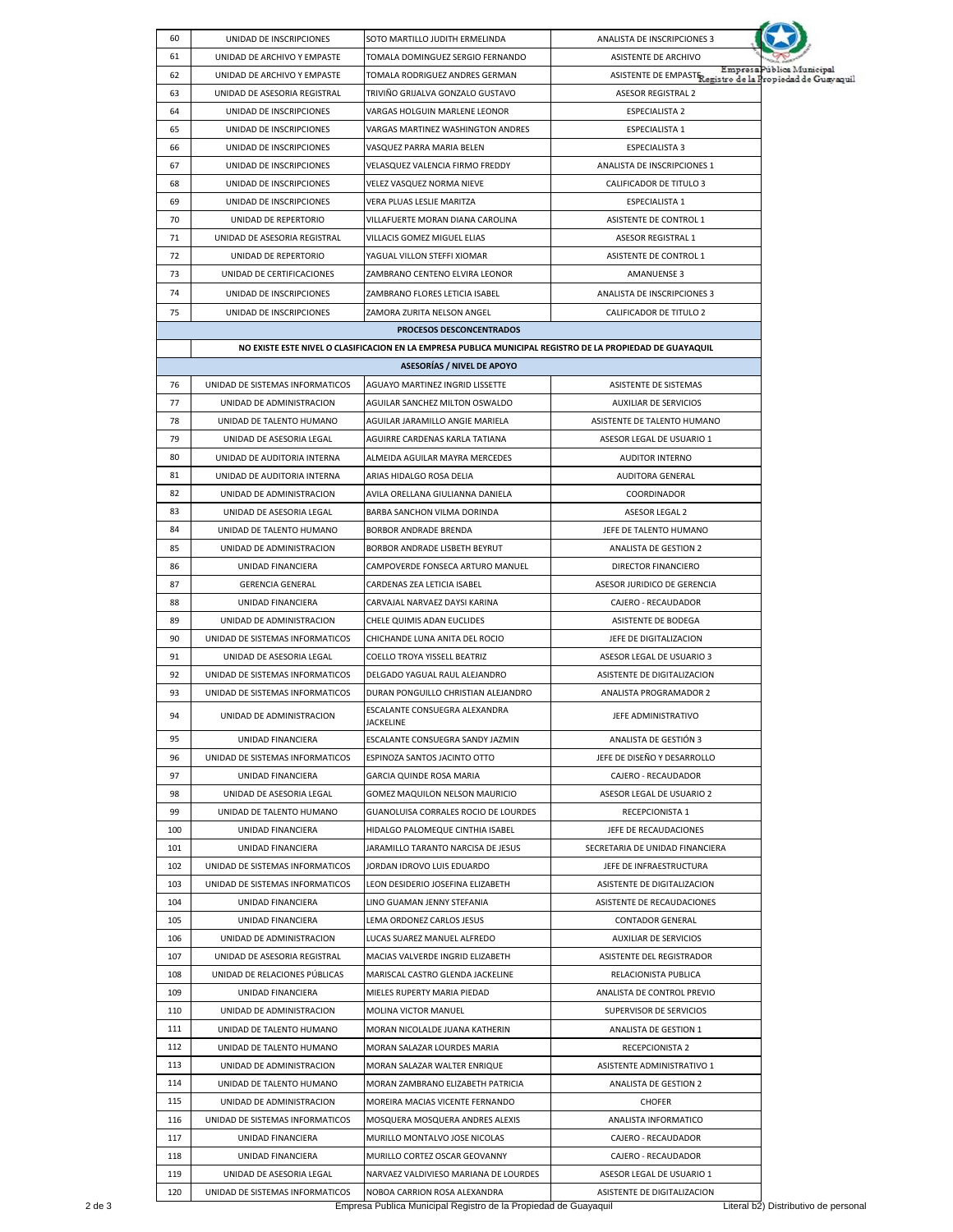| 60  | UNIDAD DE INSCRIPCIONES                              | SOTO MARTILLO JUDITH ERMELINDA                                                                             | ANALISTA DE INSCRIPCIONES 3                               |                           |
|-----|------------------------------------------------------|------------------------------------------------------------------------------------------------------------|-----------------------------------------------------------|---------------------------|
| 61  | UNIDAD DE ARCHIVO Y EMPASTE                          | TOMALA DOMINGUEZ SERGIO FERNANDO                                                                           | <b>ASISTENTE DE ARCHIVO</b>                               | Empresa Pública Municipal |
| 62  | UNIDAD DE ARCHIVO Y EMPASTE                          | TOMALA RODRIGUEZ ANDRES GERMAN                                                                             | ASISTENTE DE EMPAST Registro de la Propiedad de Guayaquil |                           |
| 63  | UNIDAD DE ASESORIA REGISTRAL                         | TRIVIÑO GRIJALVA GONZALO GUSTAVO                                                                           | <b>ASESOR REGISTRAL 2</b>                                 |                           |
| 64  | UNIDAD DE INSCRIPCIONES                              | VARGAS HOLGUIN MARLENE LEONOR                                                                              | <b>ESPECIALISTA 2</b>                                     |                           |
| 65  | UNIDAD DE INSCRIPCIONES                              | VARGAS MARTINEZ WASHINGTON ANDRES                                                                          | <b>ESPECIALISTA 1</b>                                     |                           |
| 66  | UNIDAD DE INSCRIPCIONES                              | VASQUEZ PARRA MARIA BELEN                                                                                  | <b>ESPECIALISTA 3</b>                                     |                           |
| 67  | UNIDAD DE INSCRIPCIONES                              | VELASQUEZ VALENCIA FIRMO FREDDY                                                                            | ANALISTA DE INSCRIPCIONES 1                               |                           |
| 68  | UNIDAD DE INSCRIPCIONES                              | <b>VELEZ VASQUEZ NORMA NIEVE</b>                                                                           | <b>CALIFICADOR DE TITULO 3</b>                            |                           |
| 69  | UNIDAD DE INSCRIPCIONES                              | VERA PLUAS LESLIE MARITZA                                                                                  | <b>ESPECIALISTA 1</b>                                     |                           |
| 70  | UNIDAD DE REPERTORIO                                 | VILLAFUERTE MORAN DIANA CAROLINA                                                                           | ASISTENTE DE CONTROL 1                                    |                           |
| 71  | UNIDAD DE ASESORIA REGISTRAL                         | VILLACIS GOMEZ MIGUEL ELIAS                                                                                | ASESOR REGISTRAL 1                                        |                           |
| 72  | UNIDAD DE REPERTORIO                                 | YAGUAL VILLON STEFFI XIOMAR                                                                                | ASISTENTE DE CONTROL 1                                    |                           |
| 73  | UNIDAD DE CERTIFICACIONES                            | ZAMBRANO CENTENO ELVIRA LEONOR                                                                             | AMANUENSE 3                                               |                           |
| 74  | UNIDAD DE INSCRIPCIONES                              | ZAMBRANO FLORES LETICIA ISABEL                                                                             | ANALISTA DE INSCRIPCIONES 3                               |                           |
| 75  | UNIDAD DE INSCRIPCIONES                              | ZAMORA ZURITA NELSON ANGEL                                                                                 | CALIFICADOR DE TITULO 2                                   |                           |
|     |                                                      | PROCESOS DESCONCENTRADOS                                                                                   |                                                           |                           |
|     |                                                      | NO EXISTE ESTE NIVEL O CLASIFICACION EN LA EMPRESA PUBLICA MUNICIPAL REGISTRO DE LA PROPIEDAD DE GUAYAQUIL |                                                           |                           |
|     |                                                      | <b>ASESORÍAS / NIVEL DE APOYO</b>                                                                          |                                                           |                           |
| 76  | UNIDAD DE SISTEMAS INFORMATICOS                      | AGUAYO MARTINEZ INGRID LISSETTE                                                                            | ASISTENTE DE SISTEMAS                                     |                           |
| 77  |                                                      |                                                                                                            |                                                           |                           |
|     | UNIDAD DE ADMINISTRACION                             | AGUILAR SANCHEZ MILTON OSWALDO                                                                             | <b>AUXILIAR DE SERVICIOS</b>                              |                           |
| 78  | UNIDAD DE TALENTO HUMANO                             | AGUILAR JARAMILLO ANGIE MARIELA                                                                            | ASISTENTE DE TALENTO HUMANO                               |                           |
| 79  | UNIDAD DE ASESORIA LEGAL                             | AGUIRRE CARDENAS KARLA TATIANA                                                                             | ASESOR LEGAL DE USUARIO 1                                 |                           |
| 80  | UNIDAD DE AUDITORIA INTERNA                          | ALMEIDA AGUILAR MAYRA MERCEDES                                                                             | <b>AUDITOR INTERNO</b>                                    |                           |
| 81  | UNIDAD DE AUDITORIA INTERNA                          | ARIAS HIDALGO ROSA DELIA                                                                                   | AUDITORA GENERAL                                          |                           |
| 82  | UNIDAD DE ADMINISTRACION                             | AVILA ORELLANA GIULIANNA DANIELA                                                                           | COORDINADOR                                               |                           |
| 83  | UNIDAD DE ASESORIA LEGAL                             | BARBA SANCHON VILMA DORINDA                                                                                | ASESOR LEGAL 2                                            |                           |
| 84  | UNIDAD DE TALENTO HUMANO                             | BORBOR ANDRADE BRENDA                                                                                      | JEFE DE TALENTO HUMANO                                    |                           |
| 85  | UNIDAD DE ADMINISTRACION                             | BORBOR ANDRADE LISBETH BEYRUT                                                                              | ANALISTA DE GESTION 2                                     |                           |
| 86  | UNIDAD FINANCIERA                                    | CAMPOVERDE FONSECA ARTURO MANUEL                                                                           | <b>DIRECTOR FINANCIERO</b>                                |                           |
| 87  | <b>GERENCIA GENERAL</b>                              | CARDENAS ZEA LETICIA ISABEL                                                                                | ASESOR JURIDICO DE GERENCIA                               |                           |
| 88  | UNIDAD FINANCIERA                                    | CARVAJAL NARVAEZ DAYSI KARINA                                                                              | CAJERO - RECAUDADOR                                       |                           |
| 89  | UNIDAD DE ADMINISTRACION                             | CHELE QUIMIS ADAN EUCLIDES                                                                                 | ASISTENTE DE BODEGA                                       |                           |
| 90  | UNIDAD DE SISTEMAS INFORMATICOS                      | CHICHANDE LUNA ANITA DEL ROCIO                                                                             | JEFE DE DIGITALIZACION                                    |                           |
| 91  | UNIDAD DE ASESORIA LEGAL                             | COELLO TROYA YISSELL BEATRIZ                                                                               | ASESOR LEGAL DE USUARIO 3                                 |                           |
| 92  | UNIDAD DE SISTEMAS INFORMATICOS                      | DELGADO YAGUAL RAUL ALEJANDRO                                                                              | ASISTENTE DE DIGITALIZACION                               |                           |
| 93  | UNIDAD DE SISTEMAS INFORMATICOS                      | DURAN PONGUILLO CHRISTIAN ALEJANDRO                                                                        | ANALISTA PROGRAMADOR 2                                    |                           |
| 94  | UNIDAD DE ADMINISTRACION                             | <b>FSCALANTE CONSUFGRA ALFXANDRA</b><br>JACKELINE                                                          | JEFE ADMINISTRATIVO                                       |                           |
| 95  | UNIDAD FINANCIERA                                    | ESCALANTE CONSUEGRA SANDY JAZMIN                                                                           | ANALISTA DE GESTIÓN 3                                     |                           |
| 96  | UNIDAD DE SISTEMAS INFORMATICOS                      | ESPINOZA SANTOS JACINTO OTTO                                                                               | JEFE DE DISEÑO Y DESARROLLO                               |                           |
| 97  | UNIDAD FINANCIERA                                    | GARCIA QUINDE ROSA MARIA                                                                                   | CAJERO - RECAUDADOR                                       |                           |
|     |                                                      |                                                                                                            | ASESOR LEGAL DE USUARIO 2                                 |                           |
| 98  | UNIDAD DE ASESORIA LEGAL<br>UNIDAD DE TALENTO HUMANO | GOMEZ MAQUILON NELSON MAURICIO                                                                             |                                                           |                           |
| 99  |                                                      | GUANOLUISA CORRALES ROCIO DE LOURDES                                                                       | RECEPCIONISTA 1                                           |                           |
| 100 | UNIDAD FINANCIERA                                    | HIDALGO PALOMEQUE CINTHIA ISABEL                                                                           | JEFE DE RECAUDACIONES                                     |                           |
| 101 | <b>UNIDAD FINANCIERA</b>                             | JARAMILLO TARANTO NARCISA DE JESUS                                                                         | SECRETARIA DE UNIDAD FINANCIERA                           |                           |
| 102 | UNIDAD DE SISTEMAS INFORMATICOS                      | JORDAN IDROVO LUIS EDUARDO                                                                                 | JEFE DE INFRAESTRUCTURA                                   |                           |
| 103 | UNIDAD DE SISTEMAS INFORMATICOS                      | LEON DESIDERIO JOSEFINA ELIZABETH                                                                          | ASISTENTE DE DIGITALIZACION                               |                           |
| 104 | UNIDAD FINANCIERA                                    | LINO GUAMAN JENNY STEFANIA                                                                                 | ASISTENTE DE RECAUDACIONES                                |                           |
| 105 | UNIDAD FINANCIERA                                    | LEMA ORDONEZ CARLOS JESUS                                                                                  | <b>CONTADOR GENERAL</b>                                   |                           |
| 106 | UNIDAD DE ADMINISTRACION                             | LUCAS SUAREZ MANUEL ALFREDO                                                                                | AUXILIAR DE SERVICIOS                                     |                           |
| 107 | UNIDAD DE ASESORIA REGISTRAL                         | MACIAS VALVERDE INGRID ELIZABETH                                                                           | ASISTENTE DEL REGISTRADOR                                 |                           |
| 108 | UNIDAD DE RELACIONES PÚBLICAS                        | MARISCAL CASTRO GLENDA JACKELINE                                                                           | RELACIONISTA PUBLICA                                      |                           |
| 109 | UNIDAD FINANCIERA                                    | MIELES RUPERTY MARIA PIEDAD                                                                                | ANALISTA DE CONTROL PREVIO                                |                           |
| 110 | UNIDAD DE ADMINISTRACION                             | MOLINA VICTOR MANUEL                                                                                       | SUPERVISOR DE SERVICIOS                                   |                           |
| 111 | UNIDAD DE TALENTO HUMANO                             | MORAN NICOLALDE JUANA KATHERIN                                                                             | ANALISTA DE GESTION 1                                     |                           |
| 112 | UNIDAD DE TALENTO HUMANO                             | MORAN SALAZAR LOURDES MARIA                                                                                | RECEPCIONISTA 2                                           |                           |
| 113 | UNIDAD DE ADMINISTRACION                             | MORAN SALAZAR WALTER ENRIQUE                                                                               | ASISTENTE ADMINISTRATIVO 1                                |                           |
|     |                                                      |                                                                                                            |                                                           |                           |
| 114 | UNIDAD DE TALENTO HUMANO                             | MORAN ZAMBRANO ELIZABETH PATRICIA                                                                          | ANALISTA DE GESTION 2                                     |                           |
| 115 | UNIDAD DE ADMINISTRACION                             | MOREIRA MACIAS VICENTE FERNANDO                                                                            | <b>CHOFER</b>                                             |                           |
| 116 | UNIDAD DE SISTEMAS INFORMATICOS                      | MOSQUERA MOSQUERA ANDRES ALEXIS                                                                            | ANALISTA INFORMATICO                                      |                           |
| 117 | UNIDAD FINANCIERA                                    | MURILLO MONTALVO JOSE NICOLAS                                                                              | CAJERO - RECAUDADOR                                       |                           |
| 118 | UNIDAD FINANCIERA                                    | MURILLO CORTEZ OSCAR GEOVANNY                                                                              | CAJERO - RECAUDADOR                                       |                           |
| 119 | UNIDAD DE ASESORIA LEGAL                             | NARVAEZ VALDIVIESO MARIANA DE LOURDES                                                                      | ASESOR LEGAL DE USUARIO 1                                 |                           |
| 120 | UNIDAD DE SISTEMAS INFORMATICOS                      | NOBOA CARRION ROSA ALEXANDRA                                                                               | ASISTENTE DE DIGITALIZACION                               |                           |

2 de 3 Empresa Publica Municipal Registro de la Propiedad de Guayaquil Literal b2) Distributivo de personal